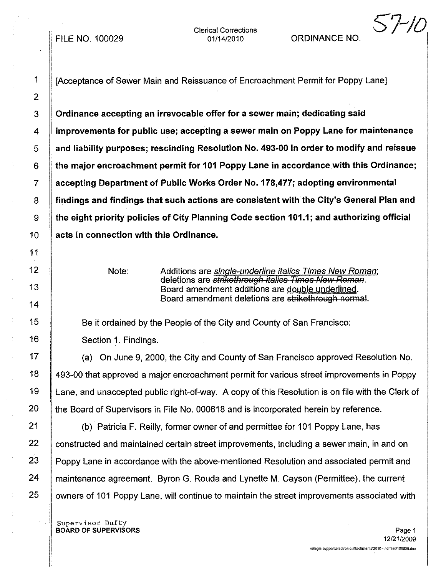FILE NO. 100029

Clerical Corrections

## 01/14/2010 ORDINANCE NO.

*57-/0*

1 [Acceptance of Sewer Main and Reissuance of Encroachment Permit for Poppy Lane]

3 Ordinance accepting an irrevocable offer for a sewer main; dedicating said 4 improvements for public use; accepting a sewer main on Poppy Lane for maintenance 5 and liability purposes; rescinding Resolution No. 493-00 in order to modify and reissue  $6 \parallel$  the major encroachment permit for 101 Poppy Lane in accordance with this Ordinance; 7 accepting Department of Public Works Order No. 178,477; adopting environmental 8 | findings and findings that such actions are consistent with the City's General Plan and 9 the eight priority policies of City Planning Code section 101.1; and authorizing official 10 **acts in connection with this Ordinance.** 

Note: Additions are *single-underline italics Times New Roman*; deletions are *strikethrough italics Times New Roman*. Board amendment additions are double underlined. Board amendment deletions are strikethrough normal.

15 **Be it ordained by the People of the City and County of San Francisco:** 16 | Section 1. Findings.

17 | (a) On June 9, 2000, the City and County of San Francisco approved Resolution No. 18 493-00 that approved a major encroachment permit for various street improvements in Poppy 19 Lane, and unaccepted public right-of-way. A copy of this Resolution is on file with the Clerk of 20  $\parallel$  the Board of Supervisors in File No. 000618 and is incorporated herein by reference.

21 **(b)** Patricia F. Reilly, former owner of and permittee for 101 Poppy Lane, has 22 Constructed and maintained certain street improvements, including a sewer main, in and on 23 Poppy Lane in accordance with the above-mentioned Resolution and associated permit and 24 **maintenance agreement. Byron G. Rouda and Lynette M. Cayson (Permittee), the current** 25 | owners of 101 Poppy Lane, will continue to maintain the street improvements associated with

Supervisor Dufty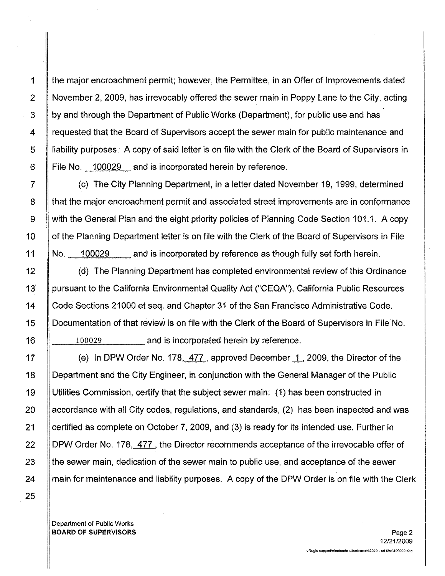1 the major encroachment permit; however, the Permittee, in an Offer of Improvements dated 2 November 2, 2009, has irrevocably offered the sewer main in Poppy Lane to the City, acting 3 by and through the Department of Public Works (Department), for public use and has 4 Fequested that the Board of Supervisors accept the sewer main for public maintenance and 5 liability purposes. A copy of said letter is on file with the Clerk of the Board of Supervisors in 6 File No. 100029 and is incorporated herein by reference.

7 (c) The City Planning Department, in a letter dated November 19, 1999, determined 8 that the major encroachment permit and associated street improvements are in conformance 9 with the General Plan and the eight priority policies of Planning Code Section 101.1. A copy 10 | of the Planning Department letter is on file with the Clerk of the Board of Supervisors in File 11 No. 100029 and is incorporated by reference as though fully set forth herein.

12 (d) The Planning Department has completed environmental review of this Ordinance 13 | pursuant to the California Environmental Quality Act ("CEQA"), California Public Resources 14 Code Sections 21000 et seq. and Chapter 31 of the San Francisco Administrative Code. 15 Documentation of that review is on file with the Clerk of the Board of Supervisors in File No. 16 100029 and is incorporated herein by reference.

17 **(a)** In DPW Order No. 178, 477, approved December 1, 2009, the Director of the 18 Department and the City Engineer, in conjunction with the General Manager of the Public 19 Utilities Commission, certify that the subject sewer main: (1) has been constructed in 20  $\parallel$  accordance with all City codes, regulations, and standards, (2) has been inspected and was 21 Certified as complete on October 7, 2009, and (3) is ready for its intended use. Further in 22 DPW Order No. 178, 477, the Director recommends acceptance of the irrevocable offer of 23 the sewer main, dedication of the sewer main to public use, and acceptance of the sewer 24 main for maintenance and liability purposes. A copy of the DPW Order is on file with the Clerk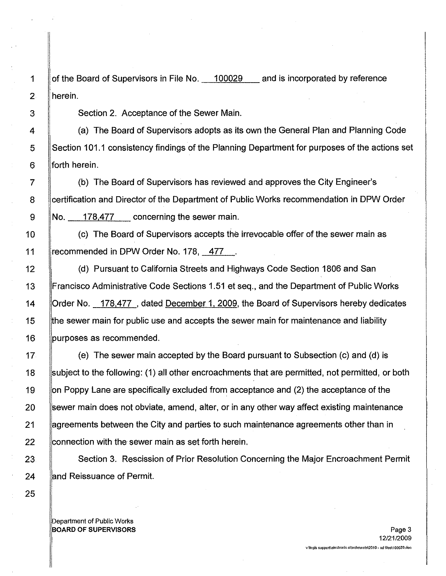1 | of the Board of Supervisors in File No. 400029 and is incorporated by reference 2 herein.

3 | Section 2. Acceptance of the Sewer Main.

4 (a) The Board of Supervisors adopts as its own the General Plan and Planning Code 5 Section 101.1 consistency findings of the Planning Department for purposes of the actions set  $6$  || forth herein.

7 (b) The Board of Supervisors has reviewed and approves the City Engineer's 8 Certification and Director of the Department of Public Works recommendation in DPW Order 178,477 9 No. \_-,-,,-=-,-,-,,--\_ concerning the sewer main.

(c) The Board of Supervisors accepts the irrevocable offer of the sewer main as 11 Frecommended in DPW Order No. 178, 477.

12 | (d) Pursuant to California Streets and Highways Code Section 1806 and San Francisco Administrative Code Sections 1.51 et seq., and the Department of Public Works **Crder No.** 178,477, dated December 1, 2009, the Board of Supervisors hereby dedicates **the sewer main for public use and accepts the sewer main for maintenance and liability purposes as recommended.** 

17 (e) The sewer main accepted by the Board pursuant to Subsection (c) and (d) is 18 subject to the following: (1) all other encroachments that are permitted, not permitted, or both 19 Solon Poppy Lane are specifically excluded from acceptance and (2) the acceptance of the 20 Sewer main does not obviate, amend, alter, or in any other way affect existing maintenance 21 **agreements between the City and parties to such maintenance agreements other than in**  $22$  connection with the sewer main as set forth herein,

23 Section 3. Rescission of Prior Resolution Concerning the Major Encroachment Permit 24 **and Reissuance of Permit.**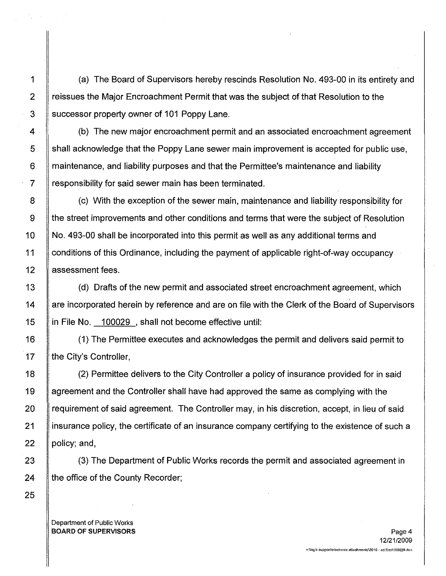1 (a) The Board of Supervisors hereby rescinds Resolution No. 493-00 in its entirety and 2 Freissues the Major Encroachment Permit that was the subject of that Resolution to the 3 Successor property owner of 101 Poppy Lane.

4 (b) The new major encroachment permit and an associated encroachment agreement 5 shall acknowledge that the Poppy Lane sewer main improvement is accepted for public use, 6 **maintenance, and liability purposes and that the Permittee's maintenance and liability** 7 Fesponsibility for said sewer main has been terminated.

8 (c) With the exception of the sewer main, maintenance and liability responsibility for 9 | the street improvements and other conditions and terms that were the subject of Resolution 10 | No. 493-00 shall be incorporated into this permit as well as any additional terms and 11 conditions of this Ordinance, including the payment of applicable right-of-way occupancy 12 | assessment fees.

13 (d) Drafts of the new permit and associated street encroachment agreement, which 14 | are incorporated herein by reference and are on file with the Clerk of the Board of Supervisors 15 | in File No. 100029, shall not become effective until:

16 (1) The Permittee executes and acknowledges the permit and delivers said permit to 17 | the City's Controller,

18 (2) Permittee delivers to the City Controller a policy of insurance provided for in said 19 agreement and the Controller shall have had approved the same as complying with the 20 **requirement of said agreement.** The Controller may, in his discretion, accept, in lieu of said 21 insurance policy, the certificate of an insurance company certifying to the existence of such a 22  $\parallel$  policy; and,

23 (3) The Department of Public Works records the permit and associated agreement in 24  $\parallel$  the office of the County Recorder;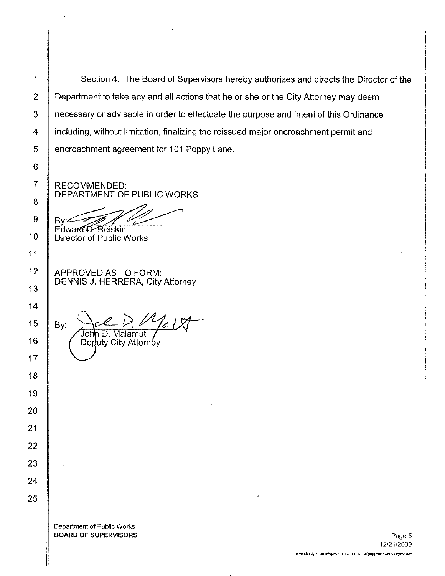1 Section 4. The Board of Supervisors hereby authorizes and directs the Director of the 2 Department to take any and all actions that he or she or the City Attorney may deem 3 | necessary or advisable in order to effectuate the purpose and intent of this Ordinance 4 **including, without limitation, finalizing the reissued major encroachment permit and** 5 | encroachment agreement for 101 Poppy Lane.

RECOMMENDED: DEPARTMENT OF PUBLIC WORKS

~~~~

Director of Public Works

APPROVED AS TO FORM: DENNIS J. HERRERA, City Attorney

15  $\parallel$  By: John D. Malamut Deduty City Attorney